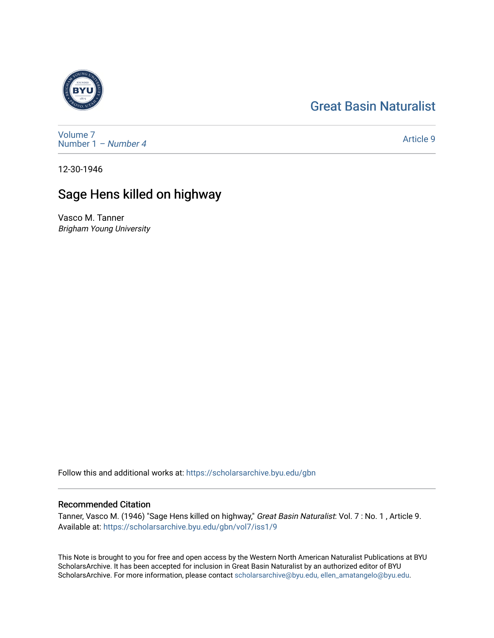## [Great Basin Naturalist](https://scholarsarchive.byu.edu/gbn)



[Volume 7](https://scholarsarchive.byu.edu/gbn/vol7) [Number 1](https://scholarsarchive.byu.edu/gbn/vol7/iss1) – Number 4

[Article 9](https://scholarsarchive.byu.edu/gbn/vol7/iss1/9) 

12-30-1946

## Sage Hens killed on highway

Vasco M. Tanner Brigham Young University

Follow this and additional works at: [https://scholarsarchive.byu.edu/gbn](https://scholarsarchive.byu.edu/gbn?utm_source=scholarsarchive.byu.edu%2Fgbn%2Fvol7%2Fiss1%2F9&utm_medium=PDF&utm_campaign=PDFCoverPages) 

## Recommended Citation

Tanner, Vasco M. (1946) "Sage Hens killed on highway," Great Basin Naturalist: Vol. 7 : No. 1 , Article 9. Available at: [https://scholarsarchive.byu.edu/gbn/vol7/iss1/9](https://scholarsarchive.byu.edu/gbn/vol7/iss1/9?utm_source=scholarsarchive.byu.edu%2Fgbn%2Fvol7%2Fiss1%2F9&utm_medium=PDF&utm_campaign=PDFCoverPages) 

This Note is brought to you for free and open access by the Western North American Naturalist Publications at BYU ScholarsArchive. It has been accepted for inclusion in Great Basin Naturalist by an authorized editor of BYU ScholarsArchive. For more information, please contact [scholarsarchive@byu.edu, ellen\\_amatangelo@byu.edu.](mailto:scholarsarchive@byu.edu,%20ellen_amatangelo@byu.edu)